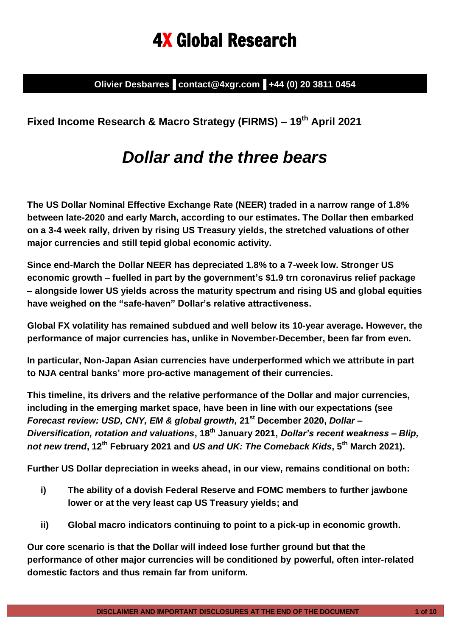# 4X Global Research

**Olivier Desbarres▐ contact@4xgr.com▐ +44 (0) 20 3811 0454**

**Fixed Income Research & Macro Strategy (FIRMS) – 19 th April 2021**

## *Dollar and the three bears*

**The US Dollar Nominal Effective Exchange Rate (NEER) traded in a narrow range of 1.8% between late-2020 and early March, according to our estimates. The Dollar then embarked on a 3-4 week rally, driven by rising US Treasury yields, the stretched valuations of other major currencies and still tepid global economic activity.** 

**Since end-March the Dollar NEER has depreciated 1.8% to a 7-week low. Stronger US economic growth – fuelled in part by the government's \$1.9 trn coronavirus relief package – alongside lower US yields across the maturity spectrum and rising US and global equities have weighed on the "safe-haven" Dollar's relative attractiveness.** 

**Global FX volatility has remained subdued and well below its 10-year average. However, the performance of major currencies has, unlike in November-December, been far from even.**

**In particular, Non-Japan Asian currencies have underperformed which we attribute in part to NJA central banks' more pro-active management of their currencies.**

**This timeline, its drivers and the relative performance of the Dollar and major currencies, including in the emerging market space, have been in line with our expectations (see** *Forecast review: USD, CNY, EM & global growth,* **21st December 2020,** *Dollar – Diversification, rotation and valuations***, 18th January 2021,** *Dollar's recent weakness – Blip, not new trend***, 12th February 2021 and** *US and UK: The Comeback Kids***, 5th March 2021).**

**Further US Dollar depreciation in weeks ahead, in our view, remains conditional on both:**

- **i) The ability of a dovish Federal Reserve and FOMC members to further jawbone lower or at the very least cap US Treasury yields; and**
- **ii) Global macro indicators continuing to point to a pick-up in economic growth.**

**Our core scenario is that the Dollar will indeed lose further ground but that the performance of other major currencies will be conditioned by powerful, often inter-related domestic factors and thus remain far from uniform.**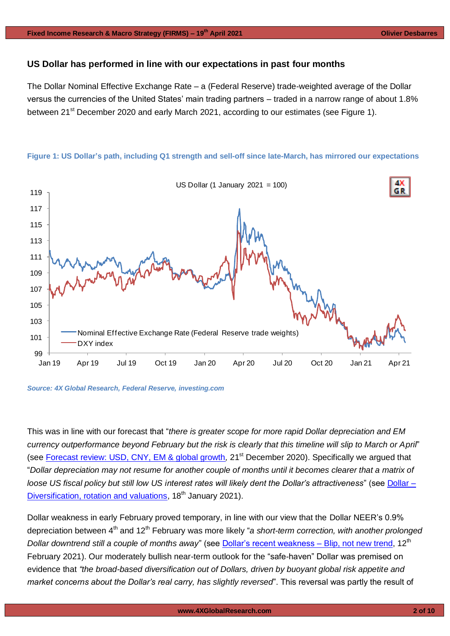#### **US Dollar has performed in line with our expectations in past four months**

The Dollar Nominal Effective Exchange Rate – a (Federal Reserve) trade-weighted average of the Dollar versus the currencies of the United States' main trading partners – traded in a narrow range of about 1.8% between 21<sup>st</sup> December 2020 and early March 2021, according to our estimates (see Figure 1).



#### **Figure 1: US Dollar's path, including Q1 strength and sell-off since late-March, has mirrored our expectations**

*Source: 4X Global Research, Federal Reserve, investing.com*

This was in line with our forecast that "*there is greater scope for more rapid Dollar depreciation and EM currency outperformance beyond February but the risk is clearly that this timeline will slip to March or April*" (see [Forecast review: USD, CNY, EM & global growth](https://www.4xglobalresearch.com/wp-content/uploads/2020/12/4X-Global-Research_Forecast-review_USD-CNY-EM-global-growth.pdf)*,* 21st December 2020). Specifically we argued that "*Dollar depreciation may not resume for another couple of months until it becomes clearer that a matrix of loose US fiscal policy but still low US interest rates will likely dent the Dollar's attractiveness*" (see [Dollar –](https://www.4xglobalresearch.com/wp-content/uploads/2021/01/4X-Global-Research_Dollar-_Diversification-rotation-and-valuations.pdf) [Diversification, rotation and valuations,](https://www.4xglobalresearch.com/wp-content/uploads/2021/01/4X-Global-Research_Dollar-_Diversification-rotation-and-valuations.pdf) 18<sup>th</sup> January 2021).

Dollar weakness in early February proved temporary, in line with our view that the Dollar NEER's 0.9% depreciation between 4<sup>th</sup> and 12<sup>th</sup> February was more likely "a short-term correction, with another prolonged *Dollar downtrend still a couple of months away*" (see [Dollar's recent weakness –](https://www.4xglobalresearch.com/wp-content/uploads/2021/02/4X-Global-Research_Dollars-recent-weakness-_Blip-not-new-trend.pdf) Blip, not new trend, 12<sup>th</sup> February 2021). Our moderately bullish near-term outlook for the "safe-haven" Dollar was premised on evidence that *"the broad-based diversification out of Dollars, driven by buoyant global risk appetite and market concerns about the Dollar's real carry, has slightly reversed*". This reversal was partly the result of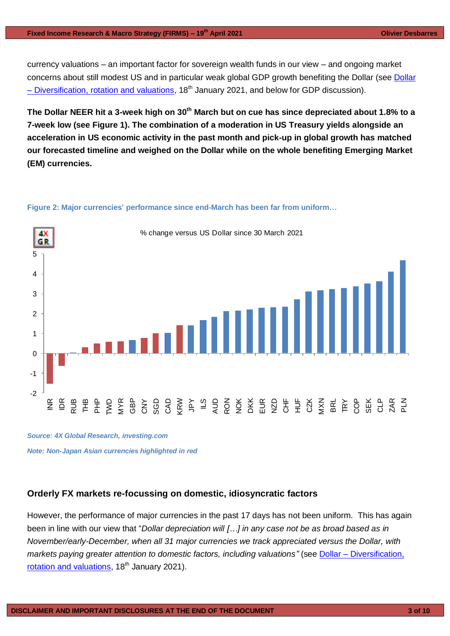currency valuations – an important factor for sovereign wealth funds in our view – and ongoing market concerns about still modest US and in particular weak global GDP growth benefiting the [Dollar](https://www.4xglobalresearch.com/wp-content/uploads/2021/01/4X-Global-Research_Dollar-_Diversification-rotation-and-valuations.pdf) (see Dollar – [Diversification, rotation and valuations,](https://www.4xglobalresearch.com/wp-content/uploads/2021/01/4X-Global-Research_Dollar-_Diversification-rotation-and-valuations.pdf)  $18<sup>th</sup>$  January 2021, and below for GDP discussion).

**The Dollar NEER hit a 3-week high on 30th March but on cue has since depreciated about 1.8% to a 7-week low (see Figure 1). The combination of a moderation in US Treasury yields alongside an acceleration in US economic activity in the past month and pick-up in global growth has matched our forecasted timeline and weighed on the Dollar while on the whole benefiting Emerging Market (EM) currencies.** 

#### **Figure 2: Major currencies' performance since end-March has been far from uniform…**



*Source: 4X Global Research, investing.com Note: Non-Japan Asian currencies highlighted in red*

### **Orderly FX markets re-focussing on domestic, idiosyncratic factors**

However, the performance of major currencies in the past 17 days has not been uniform. This has again been in line with our view that "*Dollar depreciation will […] in any case not be as broad based as in November/early-December, when all 31 major currencies we track appreciated versus the Dollar, with markets paying greater attention to domestic factors, including valuations"* (see Dollar – Diversification, [rotation and valuations,](https://www.4xglobalresearch.com/wp-content/uploads/2021/01/4X-Global-Research_Dollar-_Diversification-rotation-and-valuations.pdf) 18<sup>th</sup> January 2021).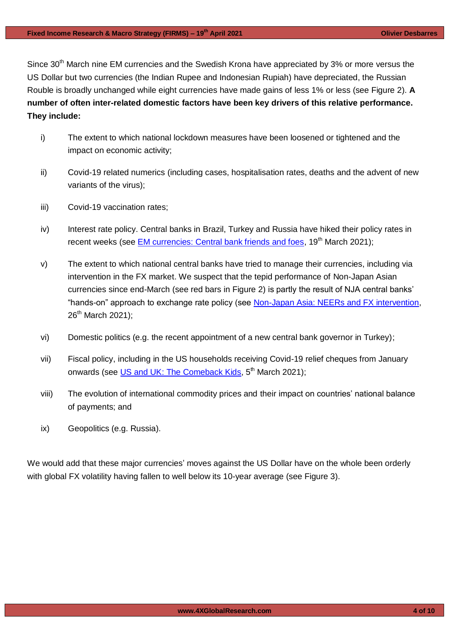Since 30<sup>th</sup> March nine EM currencies and the Swedish Krona have appreciated by 3% or more versus the US Dollar but two currencies (the Indian Rupee and Indonesian Rupiah) have depreciated, the Russian Rouble is broadly unchanged while eight currencies have made gains of less 1% or less (see Figure 2). **A number of often inter-related domestic factors have been key drivers of this relative performance. They include:**

- i) The extent to which national lockdown measures have been loosened or tightened and the impact on economic activity;
- ii) Covid-19 related numerics (including cases, hospitalisation rates, deaths and the advent of new variants of the virus);
- iii) Covid-19 vaccination rates;
- iv) Interest rate policy. Central banks in Brazil, Turkey and Russia have hiked their policy rates in recent weeks (see [EM currencies: Central bank friends and foes,](https://www.4xglobalresearch.com/wp-content/uploads/2021/03/4X-Global-Reseach_EM-currencies_Central-bank-friends-and-foes.pdf) 19<sup>th</sup> March 2021);
- v) The extent to which national central banks have tried to manage their currencies, including via intervention in the FX market. We suspect that the tepid performance of Non-Japan Asian currencies since end-March (see red bars in Figure 2) is partly the result of NJA central banks' "hands-on" approach to exchange rate policy (see [Non-Japan Asia: NEERs and FX intervention,](https://www.4xglobalresearch.com/wp-content/uploads/2021/03/4X-Global-Research_Non-Japan-Asia_NEERs-and-FX-intervention.pdf) 26<sup>th</sup> March 2021);
- vi) Domestic politics (e.g. the recent appointment of a new central bank governor in Turkey);
- vii) Fiscal policy, including in the US households receiving Covid-19 relief cheques from January onwards (see [US and UK: The Comeback Kids,](https://www.4xglobalresearch.com/wp-content/uploads/2021/03/4X-Global-Research_US-and-UK_The-Comeback-Kids.pdf) 5<sup>th</sup> March 2021);
- viii) The evolution of international commodity prices and their impact on countries' national balance of payments; and
- ix) Geopolitics (e.g. Russia).

We would add that these major currencies' moves against the US Dollar have on the whole been orderly with global FX volatility having fallen to well below its 10-year average (see Figure 3).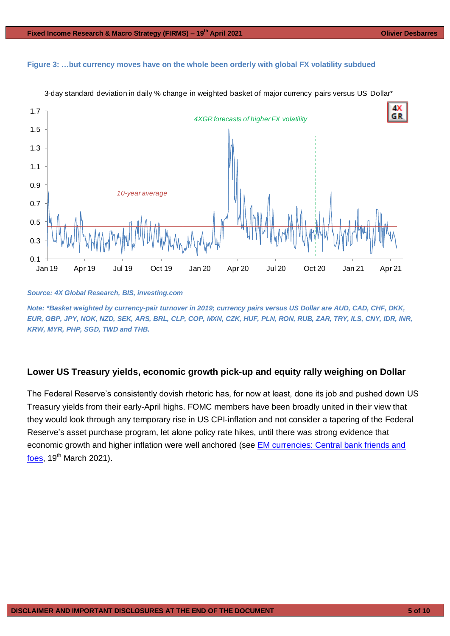#### **Figure 3: …but currency moves have on the whole been orderly with global FX volatility subdued**



3-day standard deviation in daily % change in weighted basket of major currency pairs versus US Dollar\*

#### *Source: 4X Global Research, BIS, investing.com*

*Note: \*Basket weighted by currency-pair turnover in 2019; currency pairs versus US Dollar are AUD, CAD, CHF, DKK, EUR, GBP, JPY, NOK, NZD, SEK, ARS, BRL, CLP, COP, MXN, CZK, HUF, PLN, RON, RUB, ZAR, TRY, ILS, CNY, IDR, INR, KRW, MYR, PHP, SGD, TWD and THB.*

#### **Lower US Treasury yields, economic growth pick-up and equity rally weighing on Dollar**

The Federal Reserve's consistently dovish rhetoric has, for now at least, done its job and pushed down US Treasury yields from their early-April highs. FOMC members have been broadly united in their view that they would look through any temporary rise in US CPI-inflation and not consider a tapering of the Federal Reserve's asset purchase program, let alone policy rate hikes, until there was strong evidence that economic growth and higher inflation were well anchored (see [EM currencies: Central bank friends and](https://www.4xglobalresearch.com/wp-content/uploads/2021/03/4X-Global-Reseach_EM-currencies_Central-bank-friends-and-foes.pdf)  [foes,](https://www.4xglobalresearch.com/wp-content/uploads/2021/03/4X-Global-Reseach_EM-currencies_Central-bank-friends-and-foes.pdf)  $19<sup>th</sup>$  March 2021).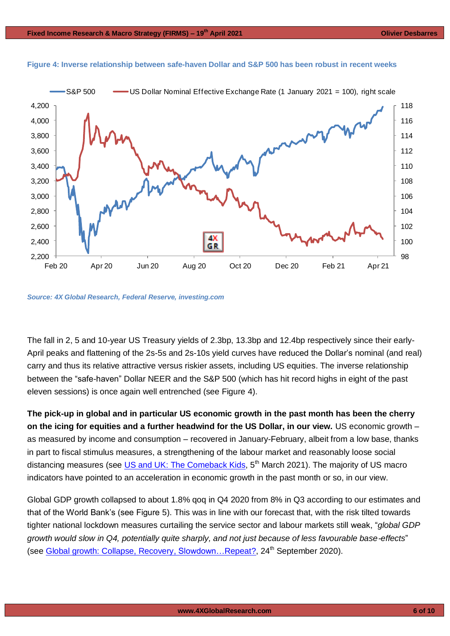

#### **Figure 4: Inverse relationship between safe-haven Dollar and S&P 500 has been robust in recent weeks**

*Source: 4X Global Research, Federal Reserve, investing.com*

The fall in 2, 5 and 10-year US Treasury yields of 2.3bp, 13.3bp and 12.4bp respectively since their early-April peaks and flattening of the 2s-5s and 2s-10s yield curves have reduced the Dollar's nominal (and real) carry and thus its relative attractive versus riskier assets, including US equities. The inverse relationship between the "safe-haven" Dollar NEER and the S&P 500 (which has hit record highs in eight of the past eleven sessions) is once again well entrenched (see Figure 4).

**The pick-up in global and in particular US economic growth in the past month has been the cherry on the icing for equities and a further headwind for the US Dollar, in our view.** US economic growth – as measured by income and consumption – recovered in January-February, albeit from a low base, thanks in part to fiscal stimulus measures, a strengthening of the labour market and reasonably loose social distancing measures (see [US and UK: The Comeback Kids,](https://www.4xglobalresearch.com/wp-content/uploads/2021/03/4X-Global-Research_US-and-UK_The-Comeback-Kids.pdf) 5<sup>th</sup> March 2021). The majority of US macro indicators have pointed to an acceleration in economic growth in the past month or so, in our view.

Global GDP growth collapsed to about 1.8% qoq in Q4 2020 from 8% in Q3 according to our estimates and that of the World Bank's (see Figure 5). This was in line with our forecast that, with the risk tilted towards tighter national lockdown measures curtailing the service sector and labour markets still weak, "*global GDP growth would slow in Q4, potentially quite sharply, and not just because of less favourable base-effects*" (see [Global growth: Collapse, Recovery,](https://4xglobalresearch.us16.list-manage.com/track/click?u=948838a86ce72ab6d8019a39d&id=9a937b548c&e=78b92c3f0d) Slowdown... Repeat?, 24<sup>th</sup> September 2020).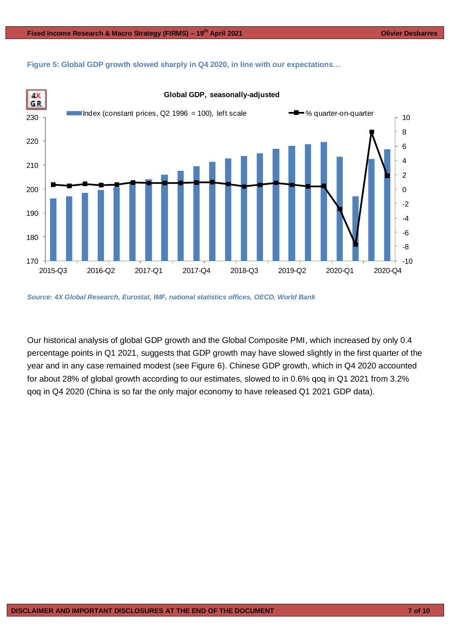**Figure 5: Global GDP growth slowed sharply in Q4 2020, in line with our expectations…**



*Source: 4X Global Research, Eurostat, IMF, national statistics offices, OECD, World Bank* 

Our historical analysis of global GDP growth and the Global Composite PMI, which increased by only 0.4 percentage points in Q1 2021, suggests that GDP growth may have slowed slightly in the first quarter of the year and in any case remained modest (see Figure 6). Chinese GDP growth, which in Q4 2020 accounted for about 28% of global growth according to our estimates, slowed to in 0.6% qoq in Q1 2021 from 3.2% qoq in Q4 2020 (China is so far the only major economy to have released Q1 2021 GDP data).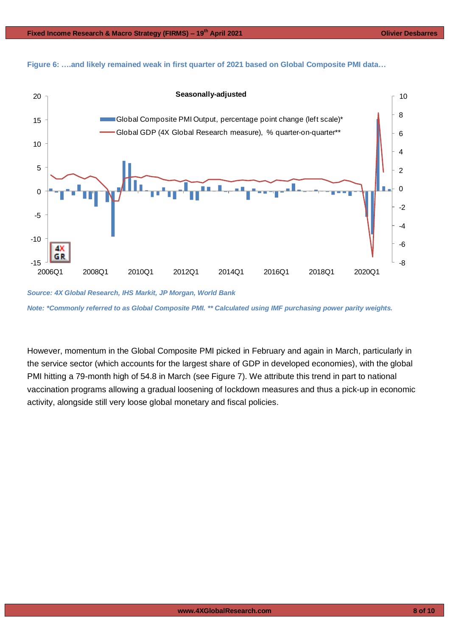



*Source: 4X Global Research, IHS Markit, JP Morgan, World Bank Note: \*Commonly referred to as Global Composite PMI. \*\* Calculated using IMF purchasing power parity weights.*

However, momentum in the Global Composite PMI picked in February and again in March, particularly in the service sector (which accounts for the largest share of GDP in developed economies), with the global PMI hitting a 79-month high of 54.8 in March (see Figure 7). We attribute this trend in part to national vaccination programs allowing a gradual loosening of lockdown measures and thus a pick-up in economic activity, alongside still very loose global monetary and fiscal policies.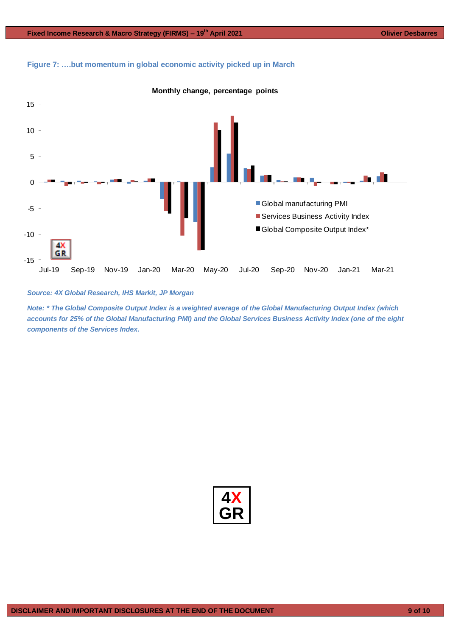**Figure 7: ….but momentum in global economic activity picked up in March**





*Source: 4X Global Research, IHS Markit, JP Morgan*

*Note: \* The Global Composite Output Index is a weighted average of the Global Manufacturing Output Index (which accounts for 25% of the Global Manufacturing PMI) and the Global Services Business Activity Index (one of the eight components of the Services Index.*